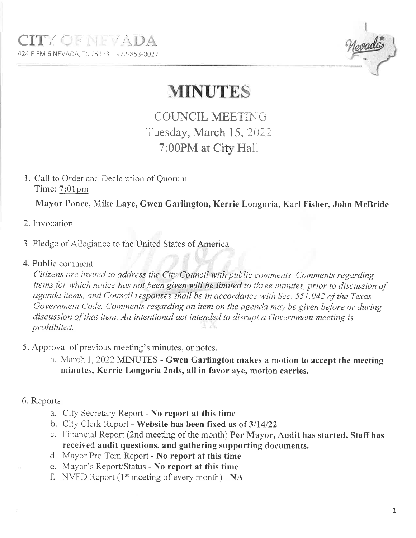

## **MINUTES**

**COUNCIL MEETING** Tuesday, March 15, 2022 7:00PM at City Hall

1. Call to Order and Declaration of Quorum Time: 7:01pm

Mayor Ponce, Mike Laye, Gwen Garlington, Kerrie Longoria, Karl Fisher, John McBride

- 2. Invocation
- 3. Pledge of Allegiance to the United States of America
- 4. Public comment

Citizens are invited to address the City Council with public comments. Comments regarding items for which notice has not been given will be limited to three minutes, prior to discussion of agenda items, and Council responses shall be in accordance with Sec. 551.042 of the Texas Government Code. Comments regarding an item on the agenda may be given before or during discussion of that item. An intentional act intended to disrupt a Government meeting is prohibited.

- 5. Approval of previous meeting's minutes, or notes.
	- a. March 1, 2022 MINUTES Gwen Garlington makes a motion to accept the meeting minutes, Kerrie Longoria 2nds, all in favor aye, motion carries.
- 6. Reports:
	- a. City Secretary Report No report at this time
	- b. City Clerk Report Website has been fixed as of  $3/14/22$
	- c. Financial Report (2nd meeting of the month) Per Mayor, Audit has started. Staff has received audit questions, and gathering supporting documents.
	- d. Mayor Pro Tem Report No report at this time
	- e. Mayor's Report/Status No report at this time
	- f. NVFD Report ( $1<sup>st</sup>$  meeting of every month) NA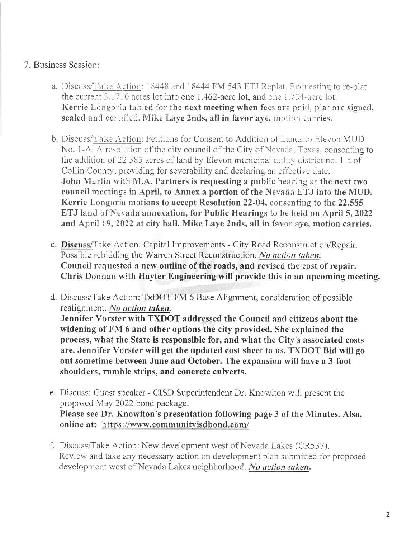## 7. Business Session:

- a. Discuss/Take Action: 18448 and 18444 FM 543 ETJ Replat. Requesting to re-plat the current 3.1710 acres lot into one 1.462-acre lot, and one 1.704-acre lot. Kerrie Longoria tabled for the next meeting when fees are paid, plat are signed, sealed and certified. Mike Laye 2nds, all in favor aye, motion carries.
- b. Discuss/Take Action: Petitions for Consent to Addition of Lands to Elevon MUD No. 1-A. A resolution of the city council of the City of Nevada, Texas, consenting to the addition of 22.585 acres of land by Elevon municipal utility district no. 1-a of Collin County; providing for severability and declaring an effective date. John Marlin with M.A. Partners is requesting a public hearing at the next two council meetings in April, to Annex a portion of the Nevada ETJ into the MUD. Kerrie Longoria motions to accept Resolution 22-04, consenting to the 22.585 ETJ land of Nevada annexation, for Public Hearings to be held on April 5, 2022 and April 19, 2022 at city hall. Mike Laye 2nds, all in favor aye, motion carries.
- c. Discuss/Take Action: Capital Improvements City Road Reconstruction/Repair. Possible rebidding the Warren Street Reconstruction. No action taken. Council requested a new outline of the roads, and revised the cost of repair. Chris Donnan with Hayter Engineering will provide this in an upcoming meeting.
- d. Discuss/Take Action: TxDOT FM 6 Base Alignment, consideration of possible realignment. No action taken. Jennifer Vorster with TXDOT addressed the Council and citizens about the widening of FM 6 and other options the city provided. She explained the process, what the State is responsible for, and what the City's associated costs are. Jennifer Vorster will get the updated cost sheet to us. TXDOT Bid will go out sometime between June and October. The expansion will have a 3-foot shoulders, rumble strips, and concrete culverts.
- e. Discuss: Guest speaker CISD Superintendent Dr. Knowlton will present the proposed May 2022 bond package. Please see Dr. Knowlton's presentation following page 3 of the Minutes. Also, online at: https://www.communityisdbond.com/
- f. Discuss/Take Action: New development west of Nevada Lakes (CR537). Review and take any necessary action on development plan submitted for proposed development west of Nevada Lakes neighborhood. No action taken.